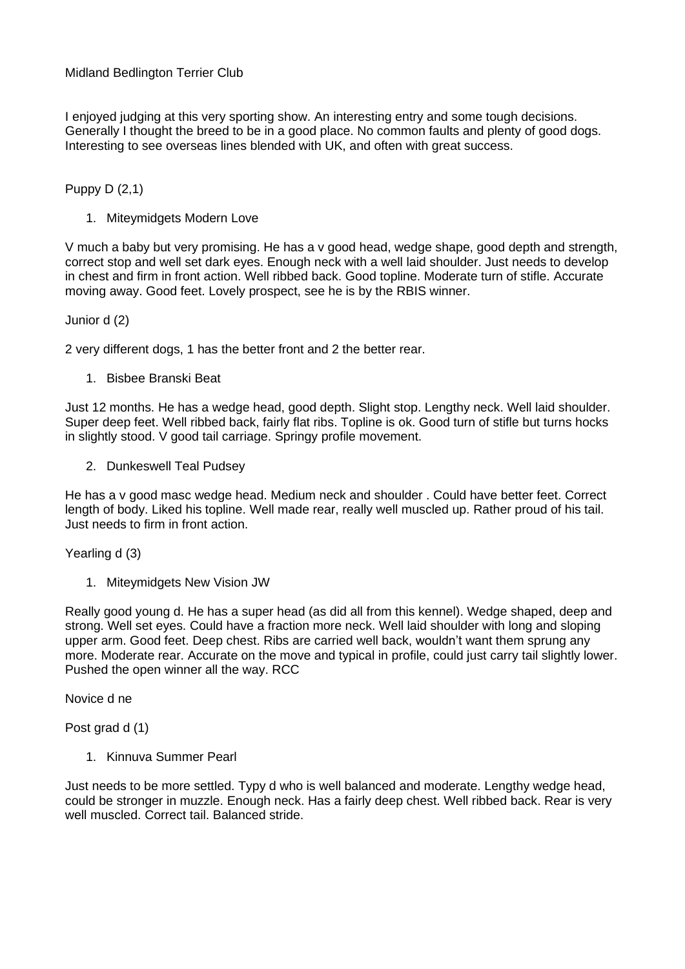## Midland Bedlington Terrier Club

I enjoyed judging at this very sporting show. An interesting entry and some tough decisions. Generally I thought the breed to be in a good place. No common faults and plenty of good dogs. Interesting to see overseas lines blended with UK, and often with great success.

## Puppy D (2,1)

1. Miteymidgets Modern Love

V much a baby but very promising. He has a v good head, wedge shape, good depth and strength, correct stop and well set dark eyes. Enough neck with a well laid shoulder. Just needs to develop in chest and firm in front action. Well ribbed back. Good topline. Moderate turn of stifle. Accurate moving away. Good feet. Lovely prospect, see he is by the RBIS winner.

Junior d (2)

2 very different dogs, 1 has the better front and 2 the better rear.

1. Bisbee Branski Beat

Just 12 months. He has a wedge head, good depth. Slight stop. Lengthy neck. Well laid shoulder. Super deep feet. Well ribbed back, fairly flat ribs. Topline is ok. Good turn of stifle but turns hocks in slightly stood. V good tail carriage. Springy profile movement.

2. Dunkeswell Teal Pudsey

He has a v good masc wedge head. Medium neck and shoulder . Could have better feet. Correct length of body. Liked his topline. Well made rear, really well muscled up. Rather proud of his tail. Just needs to firm in front action.

Yearling d (3)

1. Miteymidgets New Vision JW

Really good young d. He has a super head (as did all from this kennel). Wedge shaped, deep and strong. Well set eyes. Could have a fraction more neck. Well laid shoulder with long and sloping upper arm. Good feet. Deep chest. Ribs are carried well back, wouldn't want them sprung any more. Moderate rear. Accurate on the move and typical in profile, could just carry tail slightly lower. Pushed the open winner all the way. RCC

Novice d ne

Post grad d (1)

1. Kinnuva Summer Pearl

Just needs to be more settled. Typy d who is well balanced and moderate. Lengthy wedge head, could be stronger in muzzle. Enough neck. Has a fairly deep chest. Well ribbed back. Rear is very well muscled. Correct tail. Balanced stride.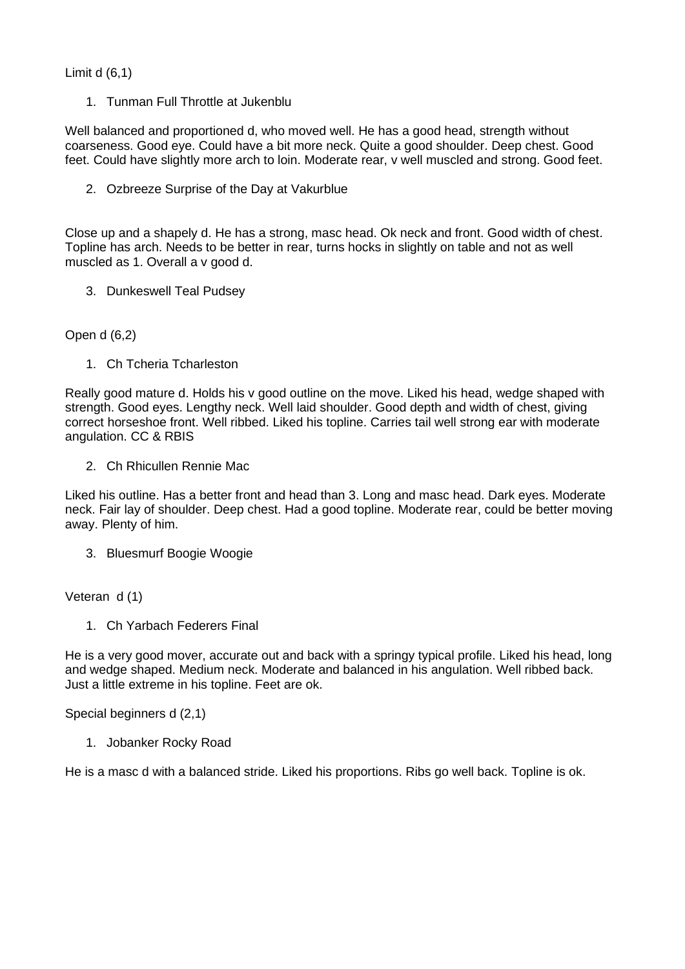Limit d (6,1)

1. Tunman Full Throttle at Jukenblu

Well balanced and proportioned d, who moved well. He has a good head, strength without coarseness. Good eye. Could have a bit more neck. Quite a good shoulder. Deep chest. Good feet. Could have slightly more arch to loin. Moderate rear, v well muscled and strong. Good feet.

2. Ozbreeze Surprise of the Day at Vakurblue

Close up and a shapely d. He has a strong, masc head. Ok neck and front. Good width of chest. Topline has arch. Needs to be better in rear, turns hocks in slightly on table and not as well muscled as 1. Overall a v good d.

3. Dunkeswell Teal Pudsey

Open d (6,2)

1. Ch Tcheria Tcharleston

Really good mature d. Holds his v good outline on the move. Liked his head, wedge shaped with strength. Good eyes. Lengthy neck. Well laid shoulder. Good depth and width of chest, giving correct horseshoe front. Well ribbed. Liked his topline. Carries tail well strong ear with moderate angulation. CC & RBIS

2. Ch Rhicullen Rennie Mac

Liked his outline. Has a better front and head than 3. Long and masc head. Dark eyes. Moderate neck. Fair lay of shoulder. Deep chest. Had a good topline. Moderate rear, could be better moving away. Plenty of him.

3. Bluesmurf Boogie Woogie

Veteran d (1)

1. Ch Yarbach Federers Final

He is a very good mover, accurate out and back with a springy typical profile. Liked his head, long and wedge shaped. Medium neck. Moderate and balanced in his angulation. Well ribbed back. Just a little extreme in his topline. Feet are ok.

Special beginners d (2,1)

1. Jobanker Rocky Road

He is a masc d with a balanced stride. Liked his proportions. Ribs go well back. Topline is ok.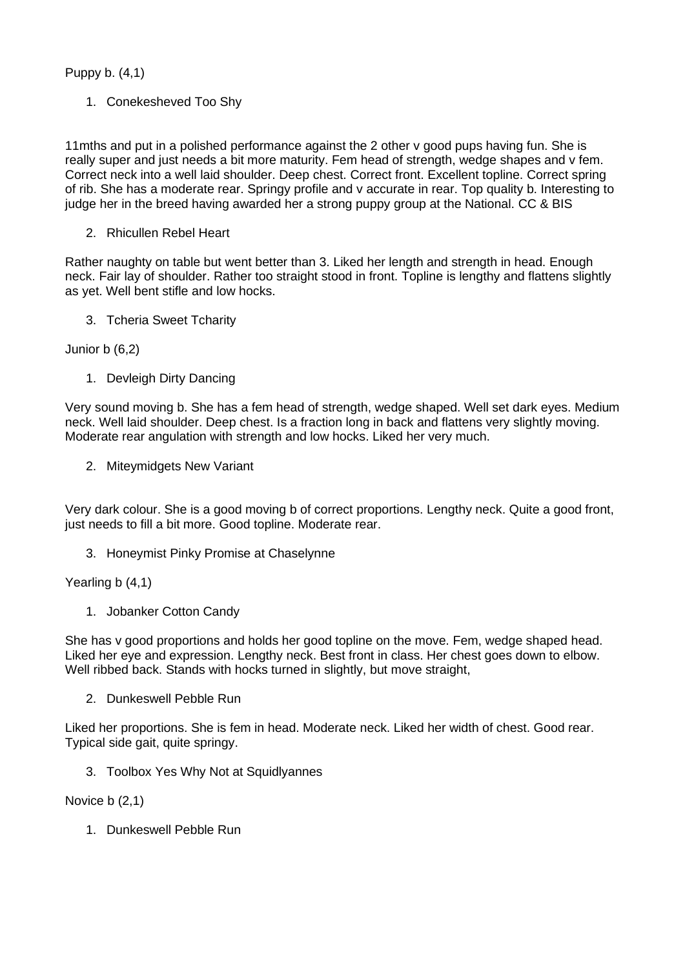Puppy b. (4,1)

1. Conekesheved Too Shy

11mths and put in a polished performance against the 2 other v good pups having fun. She is really super and just needs a bit more maturity. Fem head of strength, wedge shapes and v fem. Correct neck into a well laid shoulder. Deep chest. Correct front. Excellent topline. Correct spring of rib. She has a moderate rear. Springy profile and v accurate in rear. Top quality b. Interesting to judge her in the breed having awarded her a strong puppy group at the National. CC & BIS

2. Rhicullen Rebel Heart

Rather naughty on table but went better than 3. Liked her length and strength in head. Enough neck. Fair lay of shoulder. Rather too straight stood in front. Topline is lengthy and flattens slightly as yet. Well bent stifle and low hocks.

3. Tcheria Sweet Tcharity

Junior b (6,2)

1. Devleigh Dirty Dancing

Very sound moving b. She has a fem head of strength, wedge shaped. Well set dark eyes. Medium neck. Well laid shoulder. Deep chest. Is a fraction long in back and flattens very slightly moving. Moderate rear angulation with strength and low hocks. Liked her very much.

2. Miteymidgets New Variant

Very dark colour. She is a good moving b of correct proportions. Lengthy neck. Quite a good front, just needs to fill a bit more. Good topline. Moderate rear.

3. Honeymist Pinky Promise at Chaselynne

Yearling b (4,1)

1. Jobanker Cotton Candy

She has v good proportions and holds her good topline on the move. Fem, wedge shaped head. Liked her eye and expression. Lengthy neck. Best front in class. Her chest goes down to elbow. Well ribbed back. Stands with hocks turned in slightly, but move straight,

2. Dunkeswell Pebble Run

Liked her proportions. She is fem in head. Moderate neck. Liked her width of chest. Good rear. Typical side gait, quite springy.

3. Toolbox Yes Why Not at Squidlyannes

Novice b (2,1)

1. Dunkeswell Pebble Run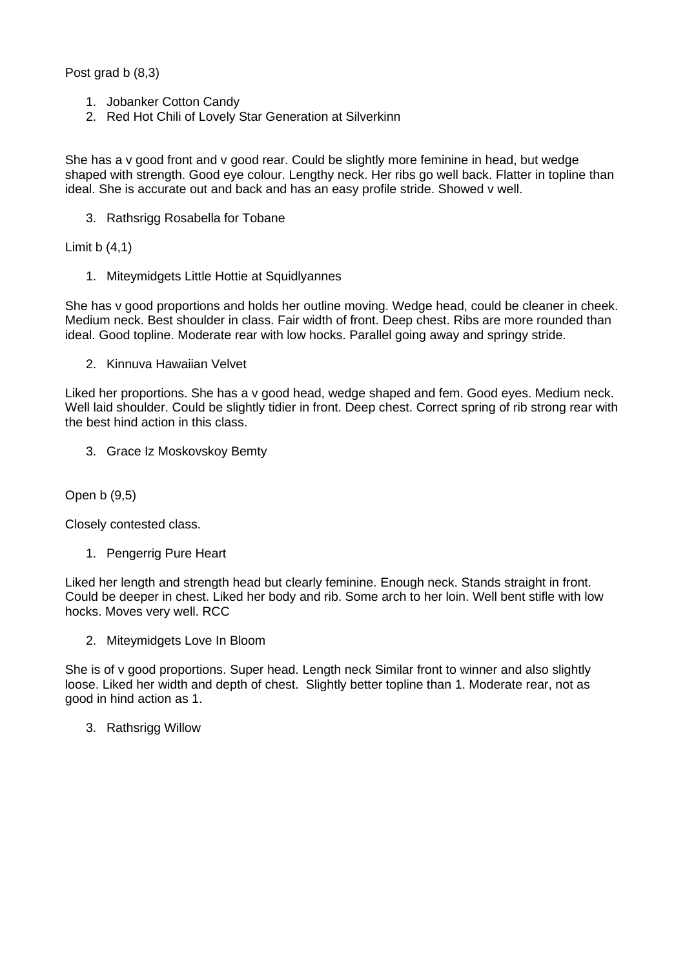Post grad b (8.3)

- 1. Jobanker Cotton Candy
- 2. Red Hot Chili of Lovely Star Generation at Silverkinn

She has a v good front and v good rear. Could be slightly more feminine in head, but wedge shaped with strength. Good eye colour. Lengthy neck. Her ribs go well back. Flatter in topline than ideal. She is accurate out and back and has an easy profile stride. Showed v well.

3. Rathsrigg Rosabella for Tobane

Limit  $b(4,1)$ 

1. Miteymidgets Little Hottie at Squidlyannes

She has v good proportions and holds her outline moving. Wedge head, could be cleaner in cheek. Medium neck. Best shoulder in class. Fair width of front. Deep chest. Ribs are more rounded than ideal. Good topline. Moderate rear with low hocks. Parallel going away and springy stride.

2. Kinnuva Hawaiian Velvet

Liked her proportions. She has a v good head, wedge shaped and fem. Good eyes. Medium neck. Well laid shoulder. Could be slightly tidier in front. Deep chest. Correct spring of rib strong rear with the best hind action in this class.

3. Grace Iz Moskovskoy Bemty

Open b (9,5)

Closely contested class.

1. Pengerrig Pure Heart

Liked her length and strength head but clearly feminine. Enough neck. Stands straight in front. Could be deeper in chest. Liked her body and rib. Some arch to her loin. Well bent stifle with low hocks. Moves very well. RCC

2. Miteymidgets Love In Bloom

She is of v good proportions. Super head. Length neck Similar front to winner and also slightly loose. Liked her width and depth of chest. Slightly better topline than 1. Moderate rear, not as good in hind action as 1.

3. Rathsrigg Willow